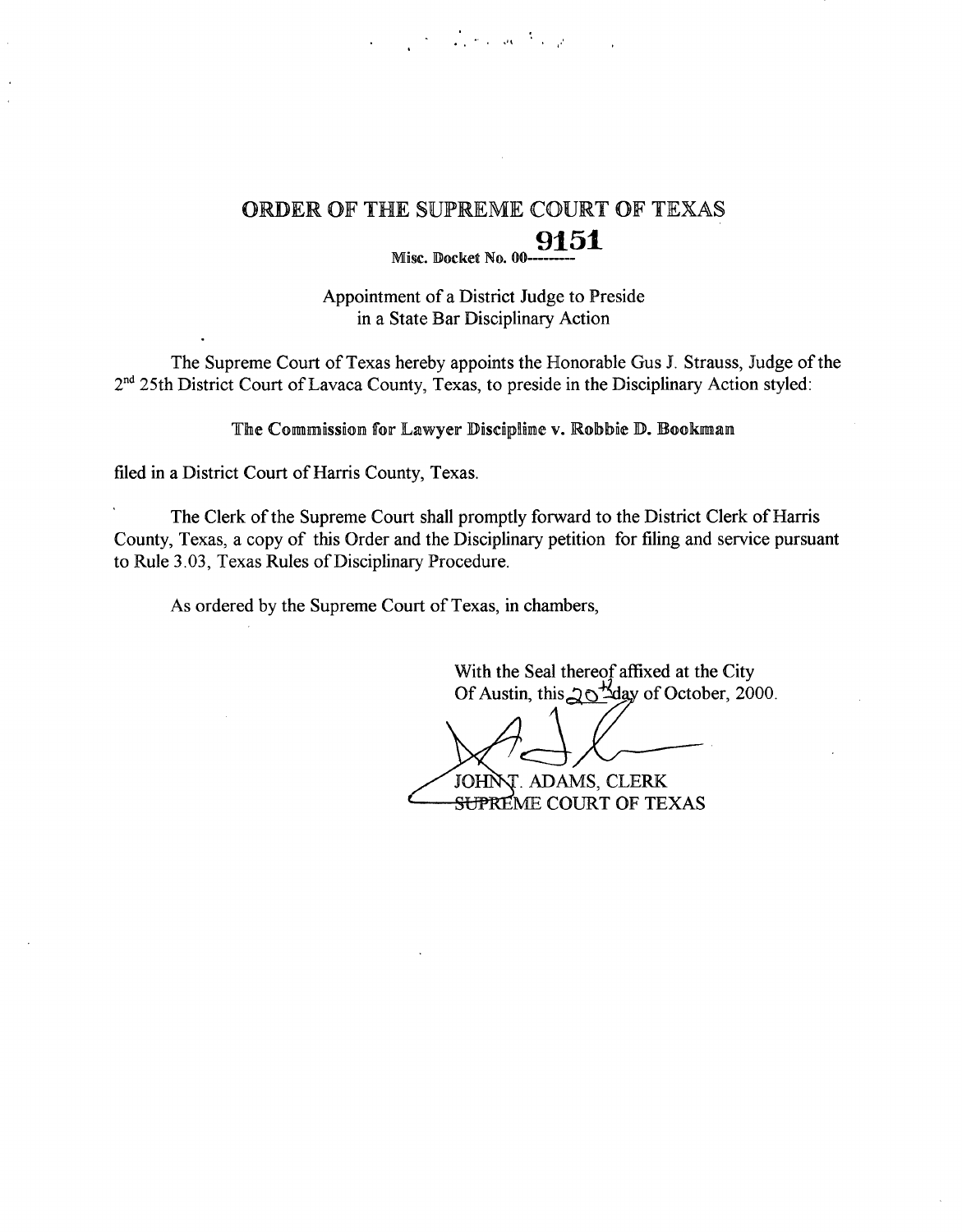

# ORDER OF THE SUPREME COURT OF TEXAS **Misc. Docket No. 00----------**

Appointment of a District Judge to Preside **in a State** Bar Disciplinary Action

The Supreme Court of Texas hereby appoints the Honorable Gus J. Strauss, Judge of the 2<sup>nd</sup> 25th District Court of Lavaca County, Texas, to preside in the Disciplinary Action styled:

The Commission for Lawyer Discipline v. Robbie D. Bookman

filed **in a District** Court of**Harris County, Texas.**

The Clerk of the Supreme Court shall promptly forward to the District Clerk of Harris County, Texas, a copy of this Order and the Disciplinary petition for filing and service pursuant to Rule 3.03, Texas Rules of Disciplinary Procedure.

As ordered by the Supreme Court of Texas, in chambers,

With the Seal thereof affixed at the City Of Austin, this 20<sup>+1</sup>day of October, 2000.

T. ADAMS, CLERK JOHN <del>SUPR</del>EME COURT OF TEXAS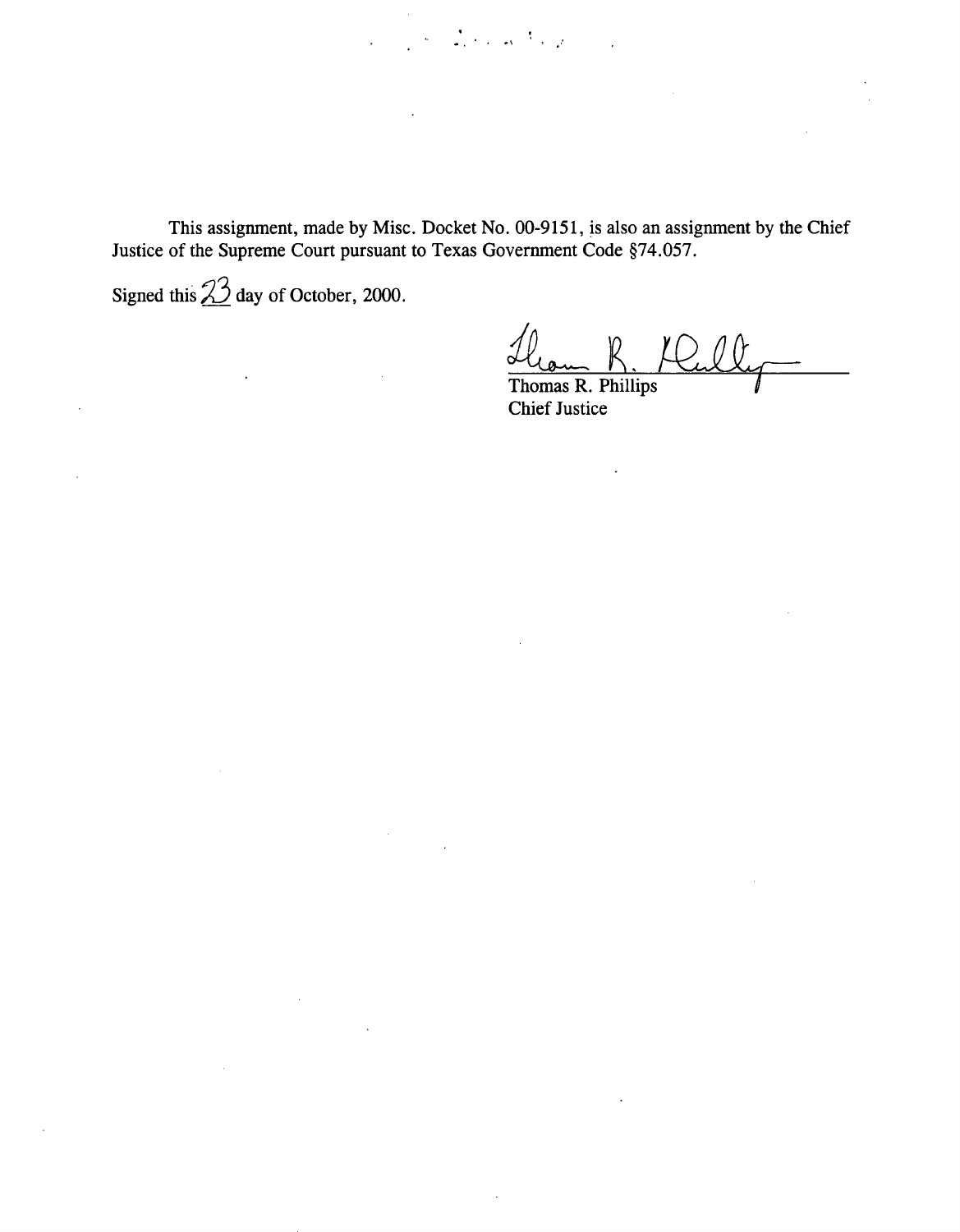**This assignment, made by Misc. Docket No. 00-9151, is also an assignment** by the Chief **Justice of the Supreme Court pursuant to Texas Government** Code §74.057.

 $\mathcal{L}_{\mathcal{A}}$ 

 $\label{eq:2} \frac{1}{\sqrt{2\pi}}\sum_{i=1}^n\left\langle\frac{1}{\sqrt{2\pi}}\right\rangle\left\langle\frac{1}{\sqrt{2\pi}}\right\rangle\left\langle\frac{1}{\sqrt{2\pi}}\right\rangle\left\langle\frac{1}{\sqrt{2\pi}}\right\rangle\left\langle\frac{1}{\sqrt{2\pi}}\right\rangle\left\langle\frac{1}{\sqrt{2\pi}}\right\rangle\left\langle\frac{1}{\sqrt{2\pi}}\right\rangle\left\langle\frac{1}{\sqrt{2\pi}}\right\rangle\left\langle\frac{1}{\sqrt{2\pi}}\right\rangle\left\langle\frac{1}{\sqrt{$ 

Signed this  $\frac{23}{4}$  day of October, 2000.

 $\sim 10^7$ 

 $\bar{\mathcal{A}}$ 

 $\ddot{\phantom{a}}$ 

 $R$ 

**Thomas R. Phillips** Chief **Justice**

 $\overline{a}$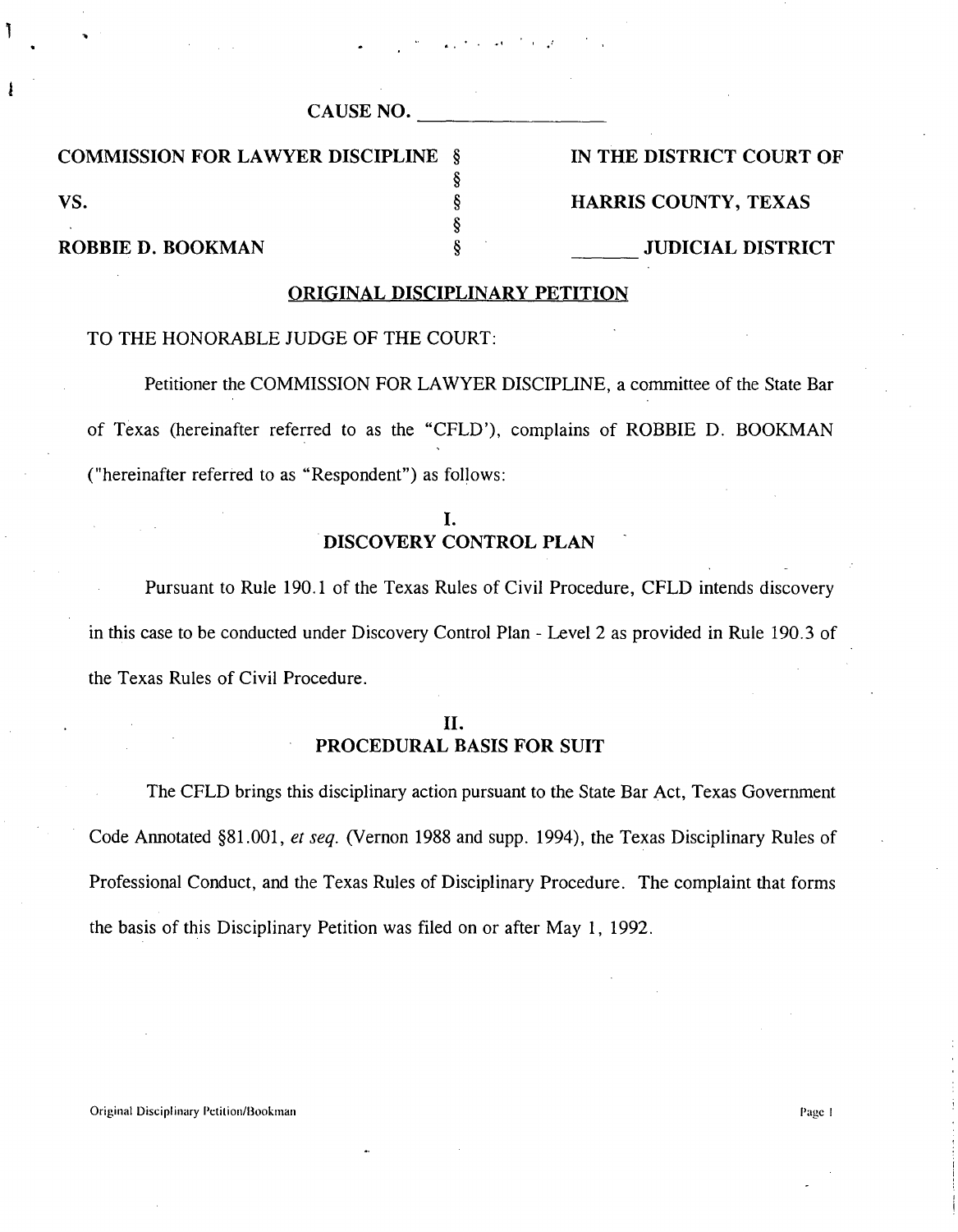| CAUSE NO. |  |
|-----------|--|
|           |  |

COMMISSION FOR LAWYER DISCIPLINE § IN THE DISTRICT COURT OF

VS. S FIARRIS COUNTY, TEXAS

## ROBBIE D. BOOKMAN § JUDICIAL DISTRICT

#### ORIGINAL **DISCIPLINARY PETITION**

§

§

#### TO THE HONORABLE JUDGE OF THE COURT:

**Petitioner** the COMMISSION FOR LAWYER DISCIPLINE, **a committee** of the **State Bar** of Texas (hereinafter referred **to as the** "CFLD'), **complains** of ROBBIE D. BOOKMAN **("hereinafter referred to as "Respondent") as follows:**

## **I.** DISCOVERY CONTROL PLAN

Pursuant to Rule 190.1 of the Texas Rules of Civil Procedure, CFLD intends discovery in this case to be conducted under Discovery Control Plan - Level 2 as provided in Rule 190.3 of the Texas Rules of Civil Procedure.

## **II.** PROCEDURAL BASIS FOR SUIT

The CFLD brings this disciplinary action pursuant to the State Bar Act, Texas Government Code Annotated §81.001, *et seq.* (Vernon 1988 and supp. 1994), the Texas Disciplinary Rules of Professional Conduct, and the Texas Rules of Disciplinary Procedure. The complaint that forms the basis of this Disciplinary Petition was filed on or after May 1, 1992.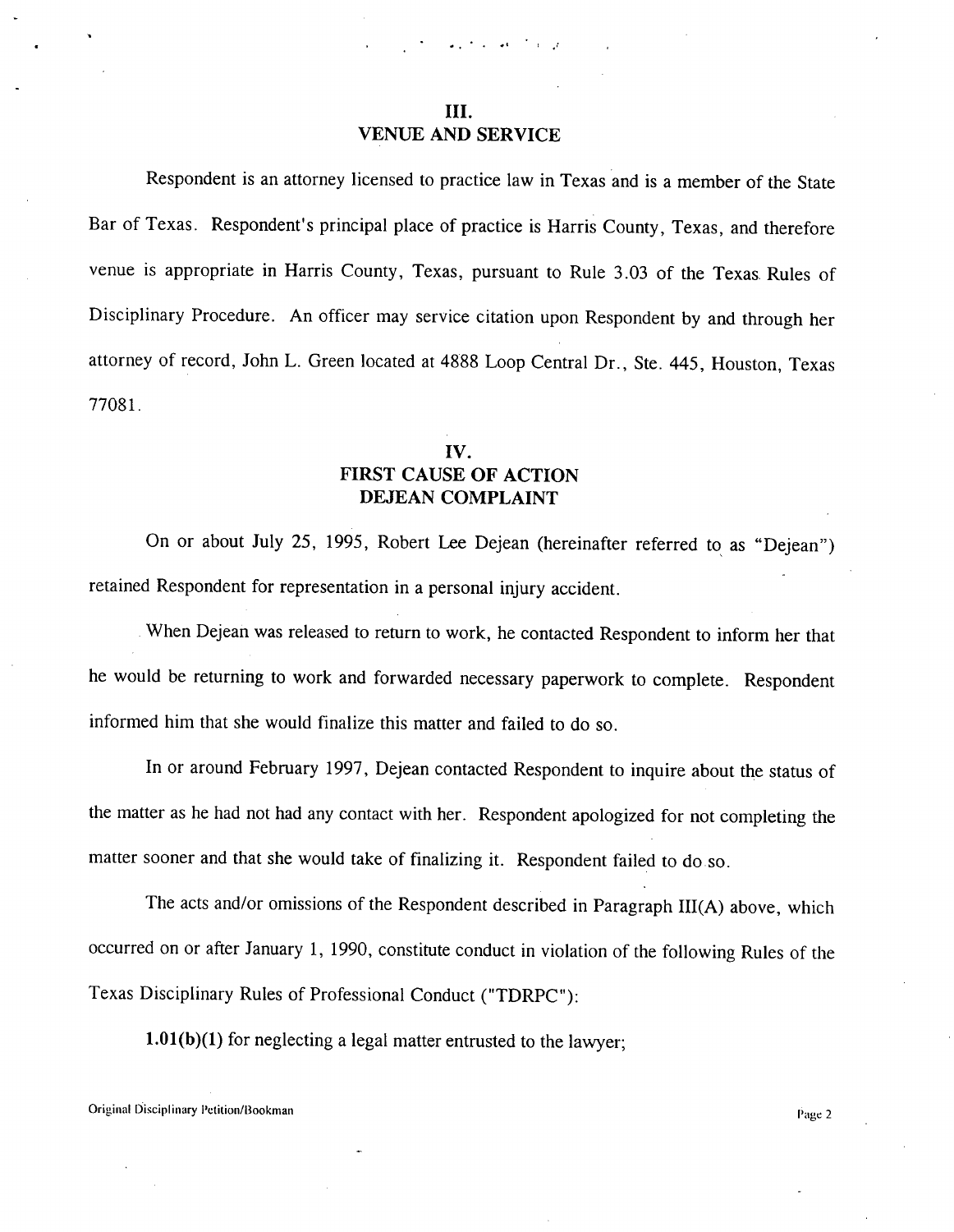#### **III.** VENUE AND SERVICE

Respondent is an attorney licensed to practice law in Texas and is a member of the State Bar of Texas. Respondent's principal place of practice is Harris County, Texas, and therefore venue is appropriate in Harris County, Texas, pursuant to Rule 3.03 of the Texas. Rules of Disciplinary Procedure. An officer may service citation upon Respondent by and through her attorney of record, John L. Green located at 4888 Loop Central Dr., Ste. 445, Houston, Texas 77081.

## IV. FIRST CAUSE OF ACTION DEJEAN COMPLAINT

On or about July 25, 1995, Robert Lee Dejean (hereinafter referred to as "Dejean") retained Respondent for representation in a personal injury accident.

When Dejean was released to return to work, he contacted Respondent to inform her that he would be returning to work and forwarded necessary paperwork to complete. Respondent informed him that she would finalize this matter and failed to do so.

In or around February 1997, Dejean contacted Respondent to inquire about the status of the matter as he had not had any contact with her. Respondent apologized for not completing the matter sooner and that she would take of finalizing it. Respondent failed to do so.

The acts and/or omissions of the Respondent described in Paragraph III(A) above, which occurred on or after January 1, 1990, constitute conduct in violation of the following Rules of the Texas Disciplinary Rules of Professional Conduct ("TDRPC"):

1.01(b)(1) for neglecting a legal matter entrusted to the lawyer;

Original Disciplinary Petition/Bookman I'age 2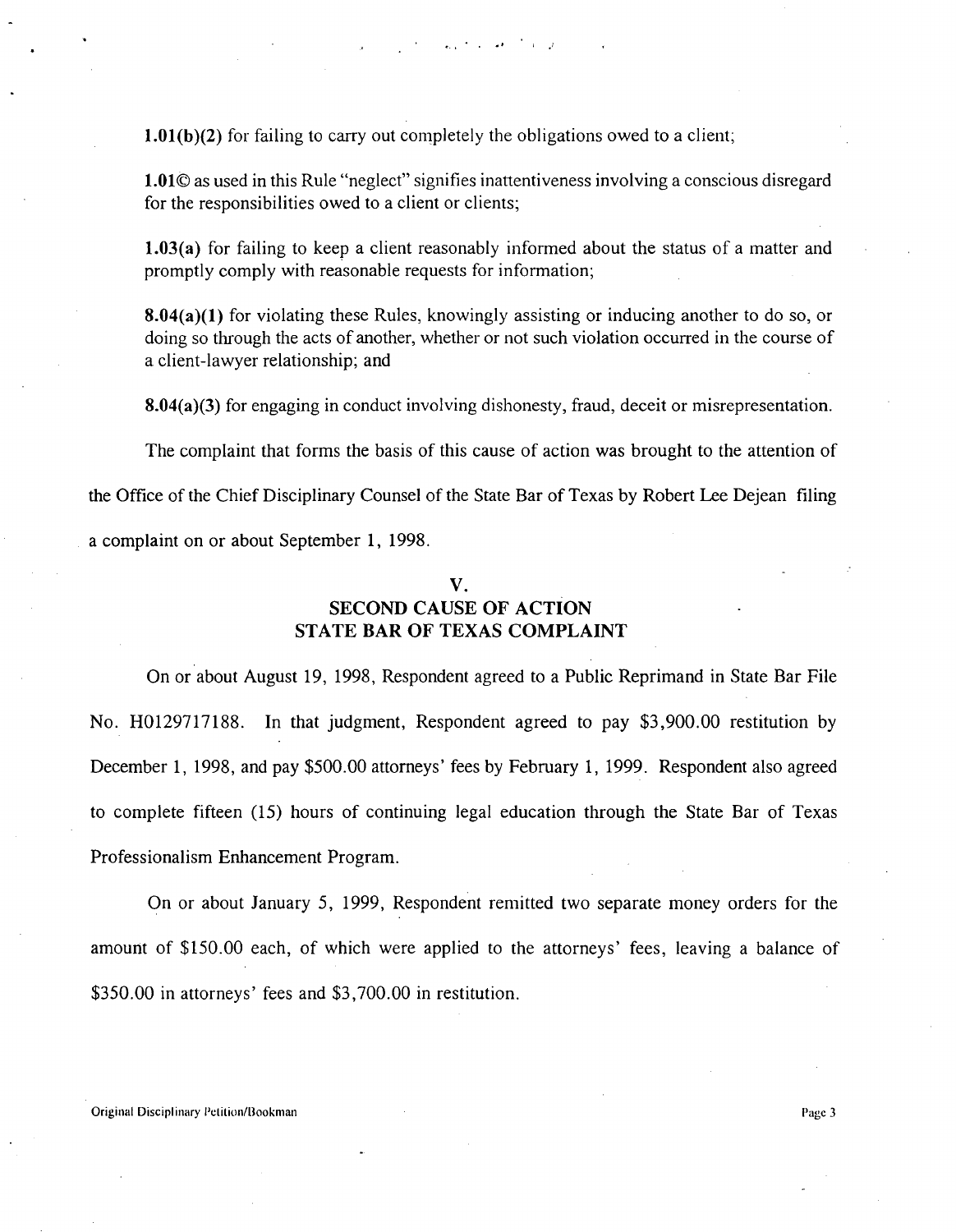**1.01(b)(2)** for failing to carry out completely the obligations owed to a client;

**1.01© as** used in this Rule "neglect" signifies inattentiveness involving a conscious disregard for the responsibilities owed to a client or clients;

**1.03(a)** for failing to keep a client reasonably informed about the status of a matter and promptly comply with reasonable requests for information;

**8.04(a)(1)** for violating these Rules, knowingly assisting or inducing another to do so, or doing so through the acts of another, whether or not such violation occurred in the course of a client-lawyer relationship; and

8.04(a)(3) for engaging in conduct involving dishonesty, fraud, deceit or misrepresentation.

The complaint that forms the basis of this cause of action was brought to the attention of

the Office of the Chief Disciplinary Counsel of the State Bar of Texas by Robert Lee Dejean filing

a complaint on or about September 1, 1998.

#### V.

#### **SECOND CAUSE OF ACTION STATE BAR OF TEXAS COMPLAINT**

On or about August 19, 1998, Respondent agreed to a Public Reprimand in State Bar File No. H0129717188. In that judgment, Respondent agreed to pay \$3,900.00 restitution by December 1, 1998, and pay \$500.00 attorneys' fees by February 1, 1999. Respondent also agreed to complete fifteen (15) hours of continuing legal education through the State Bar of Texas Professionalism Enhancement Program.

On or about January 5, 1999, Respondent remitted two separate money orders for the amount of \$150.00 each, of which were applied to the attorneys' fees, leaving a balance of \$350.00 in attorneys' fees and \$3,700.00 in restitution.

Original Disciplinary Petition/Bookman Page 3 and 2008 and 2008 and 2008 and 2008 and 2008 and 2008 and 2008 and 2008 and 2008 and 2008 and 2008 and 2008 and 2008 and 2008 and 2008 and 2008 and 2008 and 2008 and 2008 and 2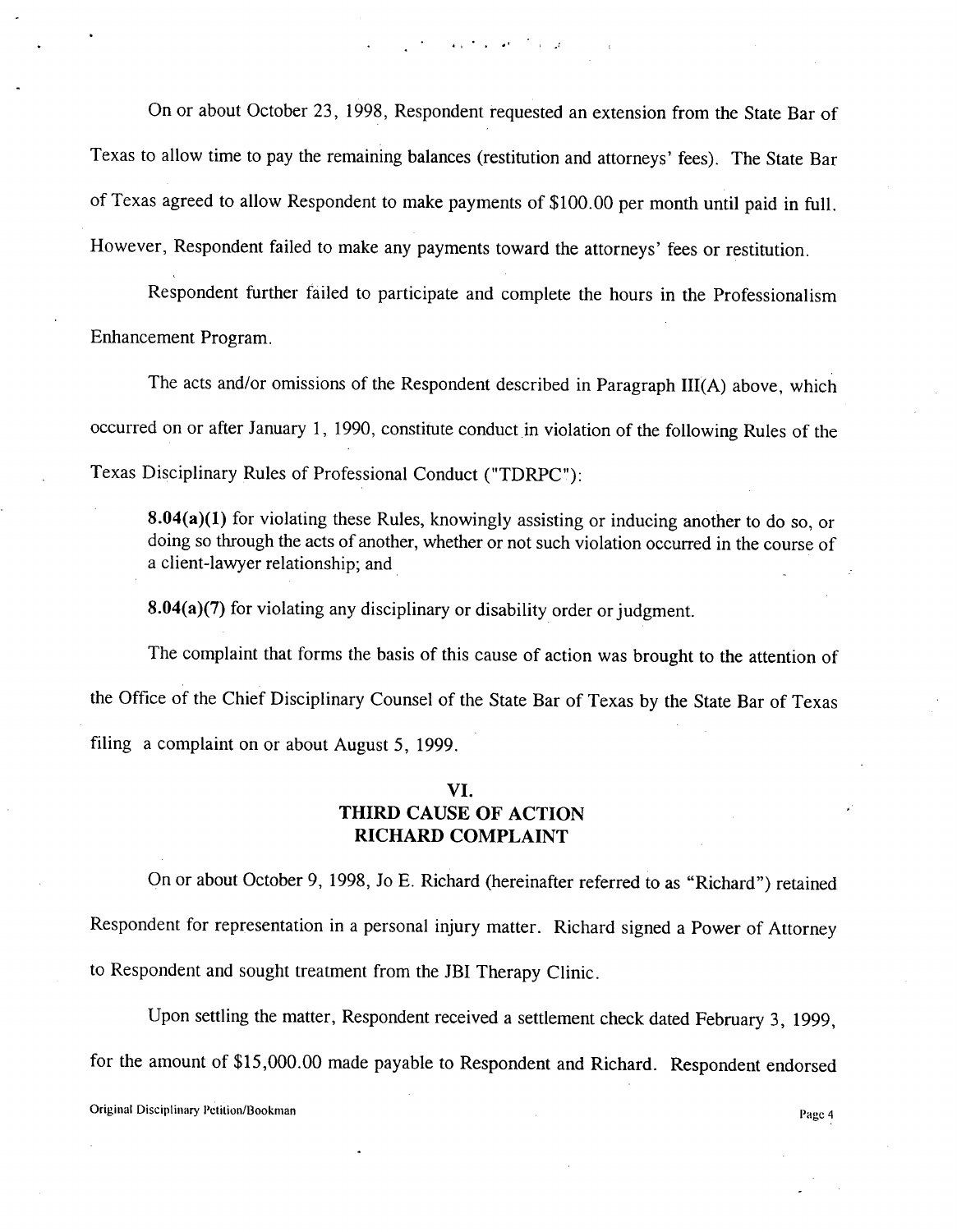On or about October 23, 1998, Respondent requested an extension from the State Bar of Texas to allow time to pay the remaining balances (restitution and attorneys' fees). The State Bar of Texas agreed to allow Respondent to make payments of \$100.00 per month until paid in full. However, Respondent failed to make any payments toward the attorneys' fees or restitution.

and the second company

Respondent further failed to participate and complete the hours in the Professionalism Enhancement Program.

The acts and/or omissions of the Respondent described in Paragraph III(A) above, which occurred on or after January 1, 1990, constitute conduct in violation of the following Rules of the Texas Disciplinary Rules of Professional Conduct ("TDRPC"):

**8.04(a)(1)** for violating these Rules, knowingly assisting or inducing another to do so, or doing so through the acts of another, whether or not such violation occurred in the course of a client-lawyer relationship; and

**8.04(a)(7)** for violating any disciplinary or disability order or judgment.

The complaint that forms the basis of this cause of action was brought to the attention of the Office of the Chief Disciplinary Counsel of the State Bar of Texas by the State Bar of Texas filing a complaint on or about August 5, 1999.

#### VI. **THIRD** CAUSE OF ACTION **RICHARD** COMPLAINT

On or about October 9, 1998, Jo E. Richard (hereinafter referred to as "Richard") retained Respondent for representation in a personal injury matter. Richard signed a Power of Attorney to Respondent and sought treatment from the JBI Therapy Clinic.

Upon settling the matter, Respondent received a settlement check dated February 3, 1999, for the amount of \$15,000.00 made payable to Respondent and Richard. Respondent endorsed

Original Disciplinary Petition/Bookman **Page 4** and Page 4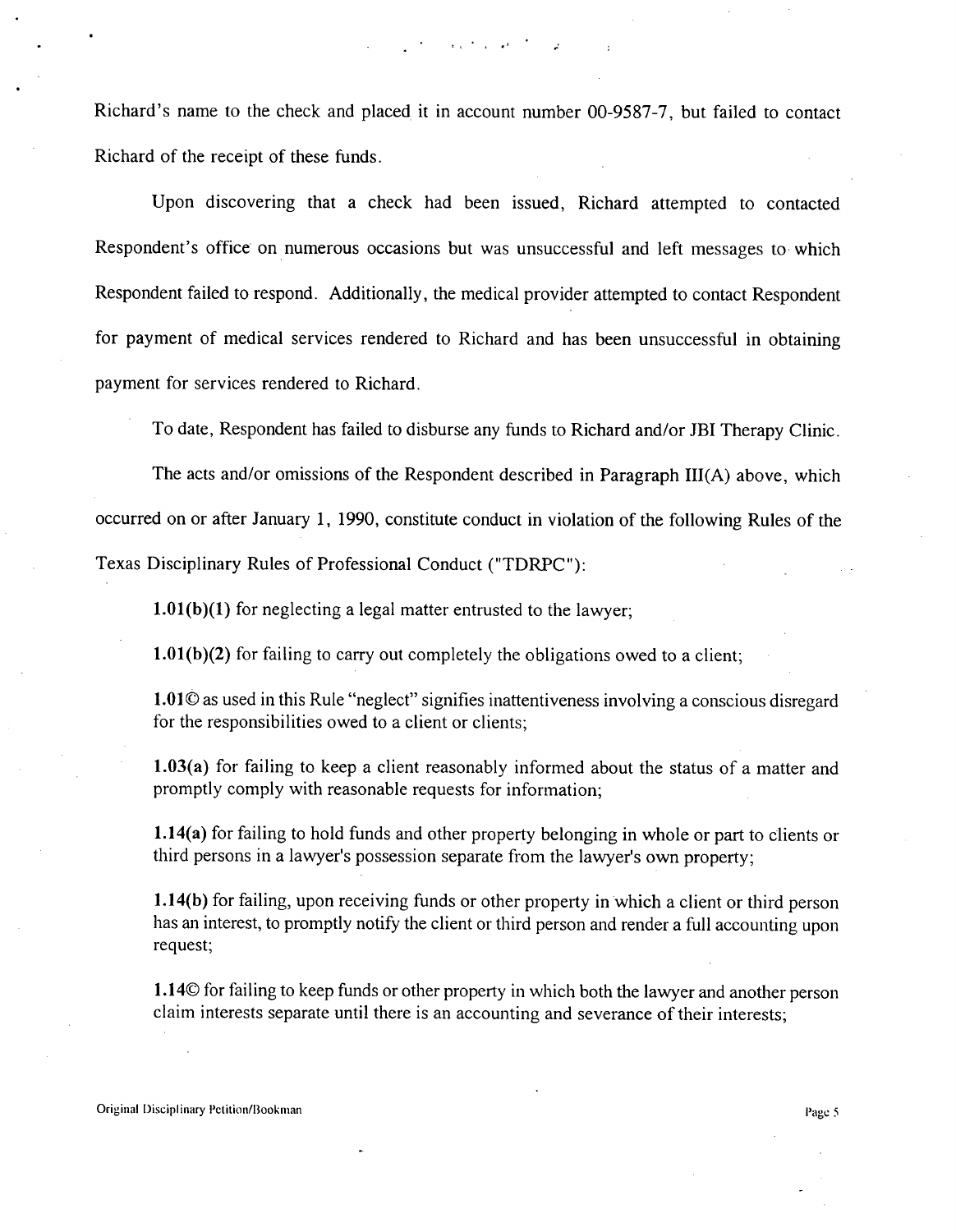$\sim 10^{-4}$  and  $\sim 10^{-4}$  and  $^{-1}$ 

Richard's name to the check and placed it in account number 00-9587-7, but failed to contact Richard of the receipt of these funds.

Upon discovering that a check had been issued, Richard attempted to contacted Respondent's office on numerous occasions but was unsuccessful and left messages to which Respondent failed to respond. Additionally, the medical provider attempted to contact Respondent for payment of medical services rendered to Richard and has been unsuccessful in obtaining payment for services rendered to Richard.

To date, Respondent has failed to disburse any funds to Richard and/or JBI Therapy Clinic.

The acts and/or omissions of the Respondent described in Paragraph III(A) above, which occurred on or after January 1, 1990, constitute conduct in violation of the following Rules of the Texas Disciplinary Rules of Professional Conduct ("TDRPC"):

1.01(b)(1) for neglecting a legal matter entrusted to the lawyer;

1.01(b)(2) for failing to carry out completely the obligations owed to a client;

1.01© as used in this Rule "neglect" signifies inattentiveness involving a conscious disregard for the responsibilities owed to a client or clients;

1.03(a) for failing to keep a client reasonably informed about the status of a matter and promptly comply with reasonable requests for information;

1.14(a) for failing to hold funds and other property belonging in whole or part to clients or third persons in a lawyer's possession separate from the lawyer's own property;

**1.14(b)** for failing, upon receiving funds or other property in which a client or third person has an interest, to promptly notify the client or third person and render a full accounting upon request;

1.14© for failing to keep funds or other property in which both the lawyer and another person claim interests separate until there is an accounting and severance of their interests;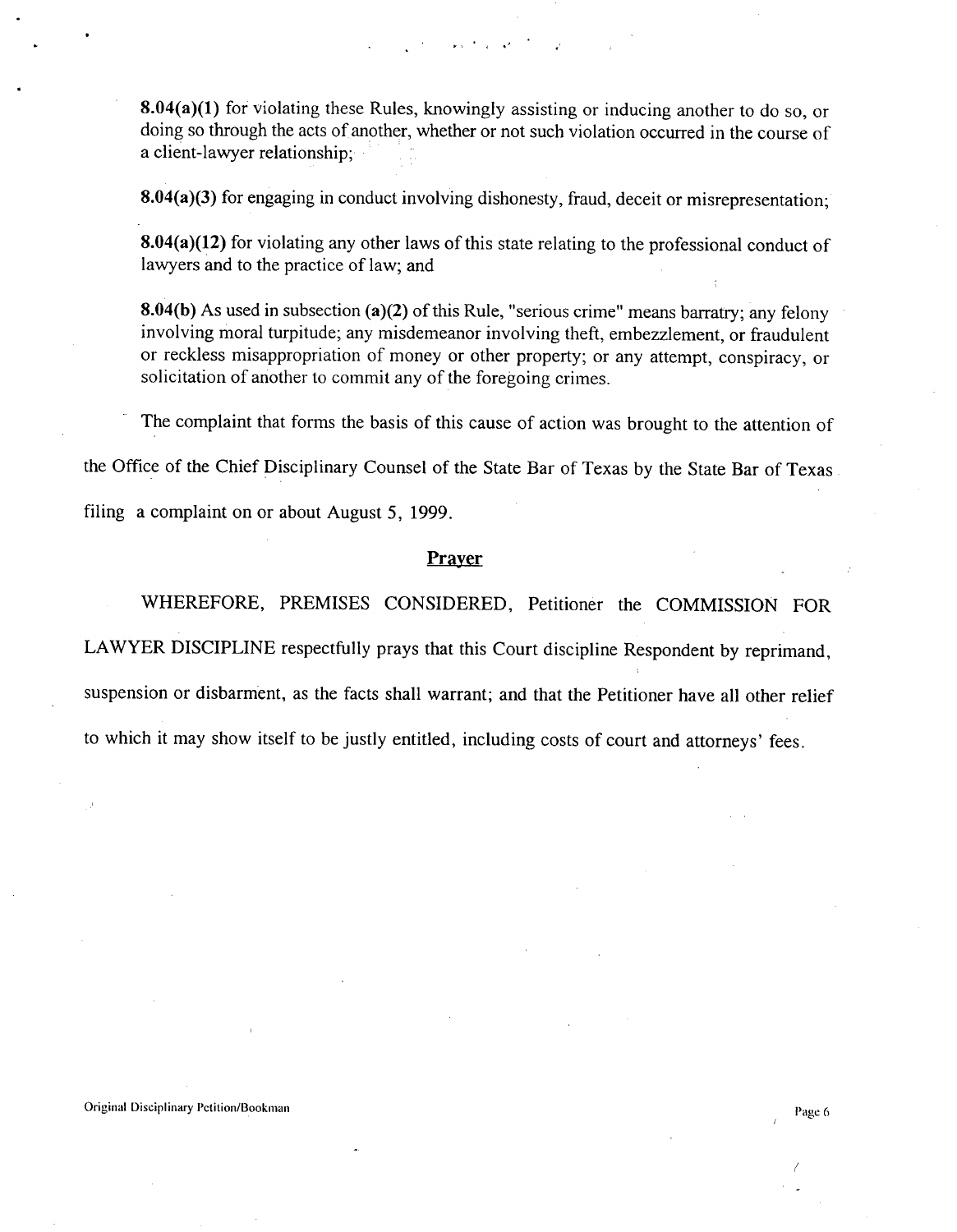**8.04(a)(1)** for violating these Rules, knowingly assisting or inducing another to do so, or doing so through the acts of another, whether or not such violation occurred in the course of a client-lawyer relationship;

المواري المحاري

**8.04(a)(3)** for engaging in conduct involving dishonesty, fraud, deceit or misrepresentation;

**8.04(a)(12)** for violating any other laws of this state relating to the professional conduct of lawyers and to the practice of law; and

**8.04(b)** As used in subsection (a)(2) of this Rule, "serious crime" means barratry; any felony involving moral turpitude; any misdemeanor involving theft, embezzlement, or fraudulent or reckless misappropriation of money or other property; or any attempt, conspiracy, or solicitation of another to commit any of the foregoing crimes.

The complaint that forms the basis of this cause of action was brought to the attention of

the Office of the Chief Disciplinary Counsel of the State Bar of Texas by the State Bar of Texas.

filing a complaint on or about August 5, 1999.

#### **Prayer**

WHEREFORE, PREMISES CONSIDERED, Petitioner the COMMISSION FOR

LAWYER DISCIPLINE respectfully prays that this Court discipline Respondent by reprimand,

suspension or disbarment, as the facts shall warrant; and that the Petitioner have all other relief

to which it may show itself to be justly entitled, including costs of court and attorneys' fees.

/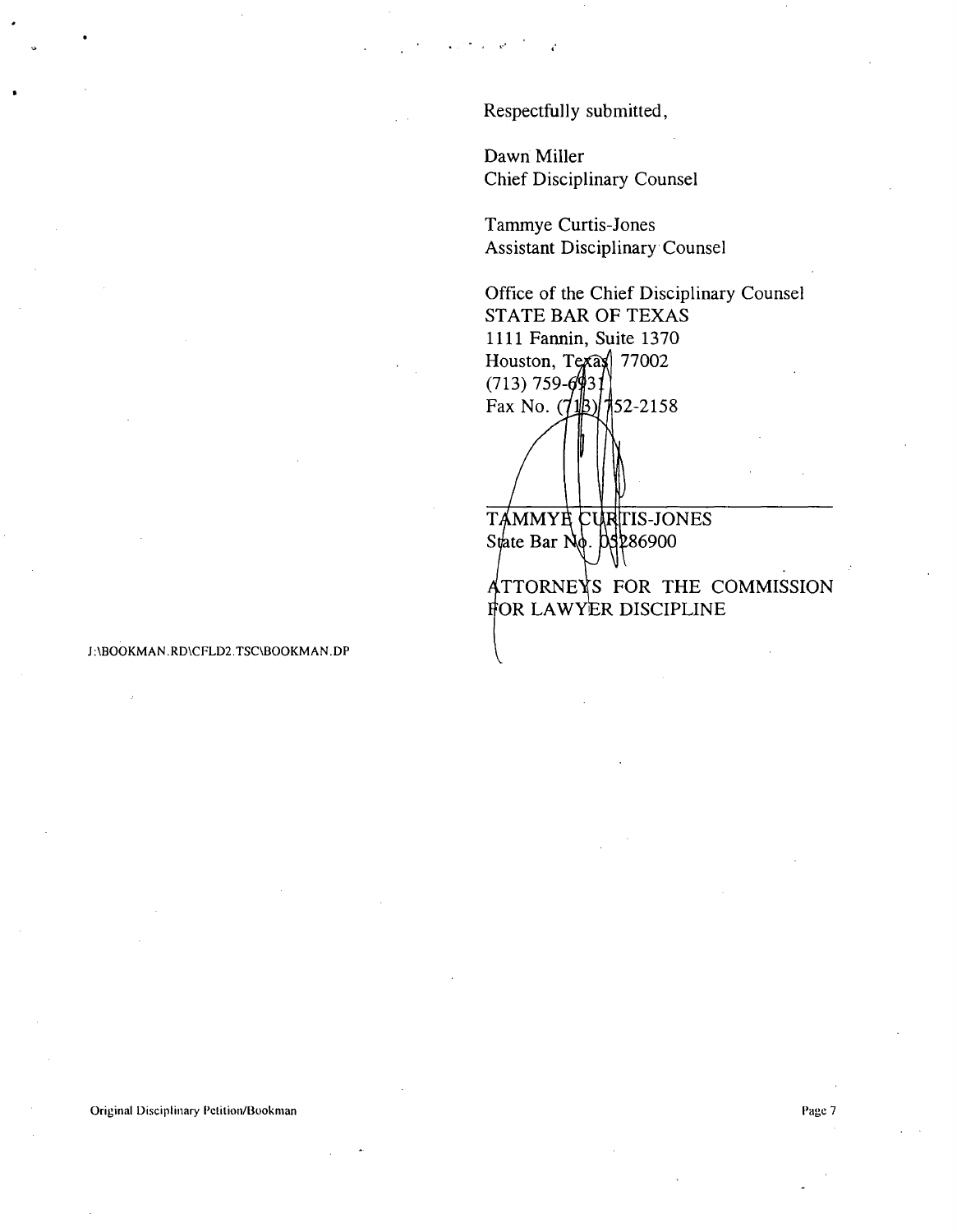Respectfully submitted,

Dawn Miller Chief Disciplinary Counsel

Tammye Curtis-Jones Assistant Disciplinary Counsel

Office of the Chief Disciplinary Counsel STATE BAR OF TEXAS 1111 Fannin, Suite 1370 Houston, Texax  $|77002$  $(713)$  759-6931 Fax No.  $(\sqrt{18})$  152-2158

TAMMYE CURITIS-JONES **State Bar No. 03286900** 

for lawyer discipline TTORNE**X**S FOR **THE COMMISSION**

J:\BOOKMAN.RD\CFLD2.TSC\BOOKMAN.DP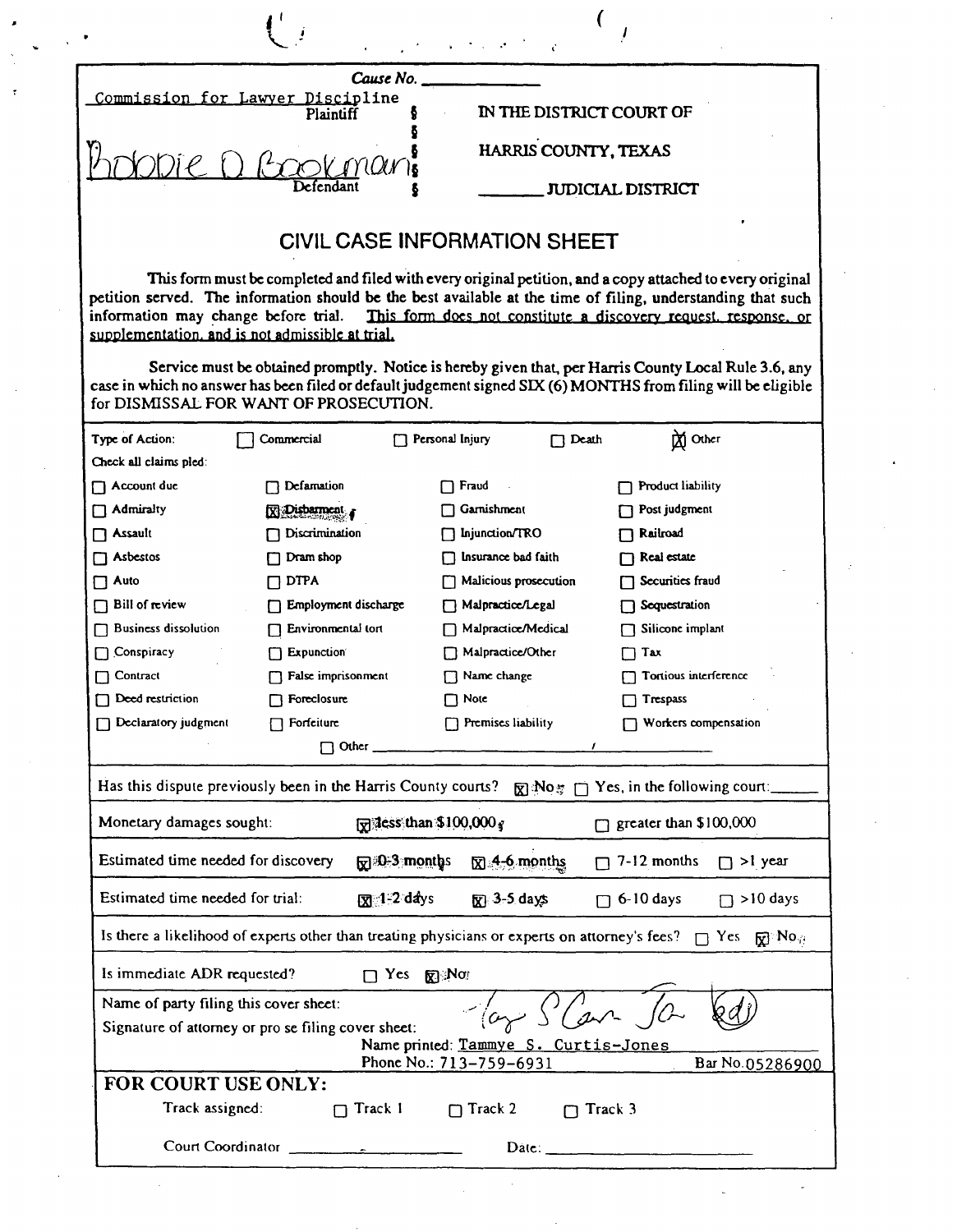| Cause No.                                     |                          |
|-----------------------------------------------|--------------------------|
| Commission for Lawyer Discipline<br>Plaintiff | IN THE DISTRICT COURT OF |
| Provinani                                     | HARRIS COUNTY, TEXAS     |
|                                               | JUDICIAL DISTRICT        |

## CIVIL CASE **INFORMATION SHEET**

This **form must be completed and filed with every original petition, and a copy attached to every original petition served. The information should be the best available at the time of filing, understanding that such information may change before trial. This form does not constitute a discoverv raquest. response. or** supplementation, and is not admissible at trial.

**Service must be obtained promptly. Notice is hereby given that, per Harris County Local Rule 3.6, any case in which no answer has been filed or default judgement signed SIX** (**6) MONTHS from filing will be eligible** for DISMISSAL FOR WANT OF PROSECUTION.

| Type of Action:                                                                                                                   | Commercial           |         | Personal Injury           | $\Box$ Death | M Other                             |  |  |  |
|-----------------------------------------------------------------------------------------------------------------------------------|----------------------|---------|---------------------------|--------------|-------------------------------------|--|--|--|
| Check all claims pled:                                                                                                            |                      |         |                           |              |                                     |  |  |  |
| $\Box$ Account due                                                                                                                | Defamation           |         | Fraud                     |              | <b>Product liability</b>            |  |  |  |
| $\sqcap$ Admiralty                                                                                                                | $\n  Disb$           |         | Garnishment               |              | Post judgment                       |  |  |  |
| T Assault                                                                                                                         | Discrimination       |         | Injunction/TRO            |              | Railroad                            |  |  |  |
| Asbestos                                                                                                                          | Dram shop            |         | Insurance bad faith       |              | Real estate                         |  |  |  |
| Auto                                                                                                                              | <b>DTPA</b>          |         | Malicious prosecution     |              | Securities fraud                    |  |  |  |
| <b>Bill of review</b>                                                                                                             | Employment discharge |         | Malpractice/Legal         |              | Sequestration                       |  |  |  |
| <b>Business dissolution</b>                                                                                                       | Environmental tort   |         | Malpractice/Medical       |              | Silicone implant                    |  |  |  |
| Conspiracy                                                                                                                        | <b>Expunction</b>    |         | Malpractice/Other         |              | Tax                                 |  |  |  |
| Contract                                                                                                                          | False imprisonment   |         | $\Box$ Name change        |              | Tortious interference               |  |  |  |
| Deed restriction                                                                                                                  | Foreclosure          |         | $\Box$ Note               |              | Trespass                            |  |  |  |
| Declaratory judgment                                                                                                              | Forfeiture           |         | $\Box$ Premises liability |              | Workers compensation                |  |  |  |
| $\Box$ Other $\_\_$                                                                                                               |                      |         |                           |              |                                     |  |  |  |
| Has this dispute previously been in the Harris County courts? $\mathbb{R}^3$ No <sub>27</sub> $\cap$ Yes, in the following court: |                      |         |                           |              |                                     |  |  |  |
| $\sqrt{3}$ dess than \$100,000 $\sqrt{3}$<br>Monetary damages sought:                                                             |                      |         |                           |              | $\Box$ greater than \$100,000       |  |  |  |
| Estimated time needed for discovery<br>$\boxtimes$ 4-6 months<br>7-12 months<br>$\mathbb{R}^{30-3}$ months<br>$\Box$ > lyear      |                      |         |                           |              |                                     |  |  |  |
| Estimated time needed for trial:<br>$\overline{17}$ 1-2 days                                                                      |                      |         | $\sqrt{x}$ 3-5 days       |              | $\Box$ 6-10 days<br>$\Box$ >10 days |  |  |  |
| Is there a likelihood of experts other than treating physicians or experts on attorney's fees? $\Box$ Yes $\Box$ No <sub>ii</sub> |                      |         |                           |              |                                     |  |  |  |
| Is immediate ADR requested?<br>$\Box$ Yes<br>$R \times N$                                                                         |                      |         |                           |              |                                     |  |  |  |
| Name of party filing this cover sheet:<br>$\frac{1}{\alpha}$ $\frac{1}{\alpha}$                                                   |                      |         |                           |              |                                     |  |  |  |
| Signature of attorney or pro se filing cover sheet:<br>Name printed: Tammye S. Curtis-Jones                                       |                      |         |                           |              |                                     |  |  |  |
| Phone No.: 713-759-6931<br>Bar No.05286900                                                                                        |                      |         |                           |              |                                     |  |  |  |
| FOR COURT USE ONLY:                                                                                                               |                      |         |                           |              |                                     |  |  |  |
| Track assigned:                                                                                                                   | П                    | Track 1 | $\Box$ Track 2            | Track 3      |                                     |  |  |  |
| Court Coordinator<br>${\bf Date.}$                                                                                                |                      |         |                           |              |                                     |  |  |  |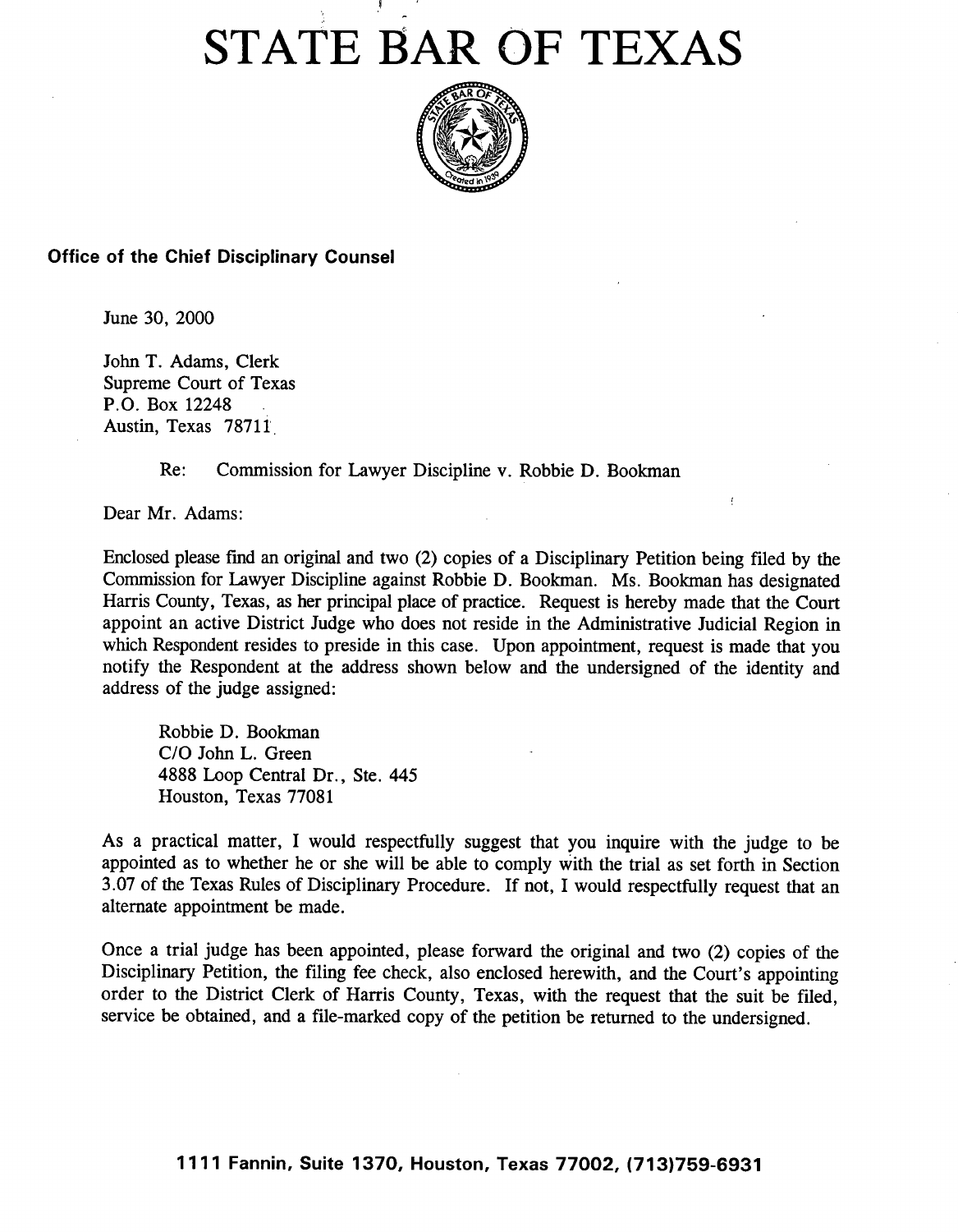# STATE BAR OF TEXAS



Office of the Chief Disciplinary Counsel

June 30, 2000

John T. Adams, Clerk Supreme Court of Texas P.O. Box 12248 Austin, Texas 78711

**Re: Commission** for Lawyer **Discipline** v. Robbie D. **Bookman**

Dear Mr. Adams:

Enclosed please fmd an original and two (2) copies of a Disciplinary Petition being filed by the Commission for Lawyer Discipline against Robbie D. Bookman. Ms. Bookman has designated Harris County, Texas, as her principal place of practice. Request is hereby made that the Court appoint an active District Judge who does not reside in the Administrative Judicial Region in which Respondent resides to preside in this case. Upon appointment, request is made that you notify the Respondent at the address shown below and the undersigned of the identity and address of the judge assigned:

 $\bar{t}$ 

Robbie D. Bookman C/O John L. Green 4888 Loop Central Dr., Ste. 445 Houston, Texas 77081

**As a practical matter, I would respectfully suggest that you inquire with the judge to be appointed as to whether he or she will be able to comply with the trial as set forth in Section** 3.07 of **the Texas Rules of Disciplinary Procedure. If not, I would respectfully request that an alternate appointment be made.**

Once a trial judge has been appointed, please forward the original and two (2) copies of the Disciplinary Petition, the filing fee check, also enclosed herewith, and the Court's appointing order to the District Clerk of Harris County, Texas, with the request that the suit be filed, service be obtained, and a file-marked copy of the petition be returned to the undersigned.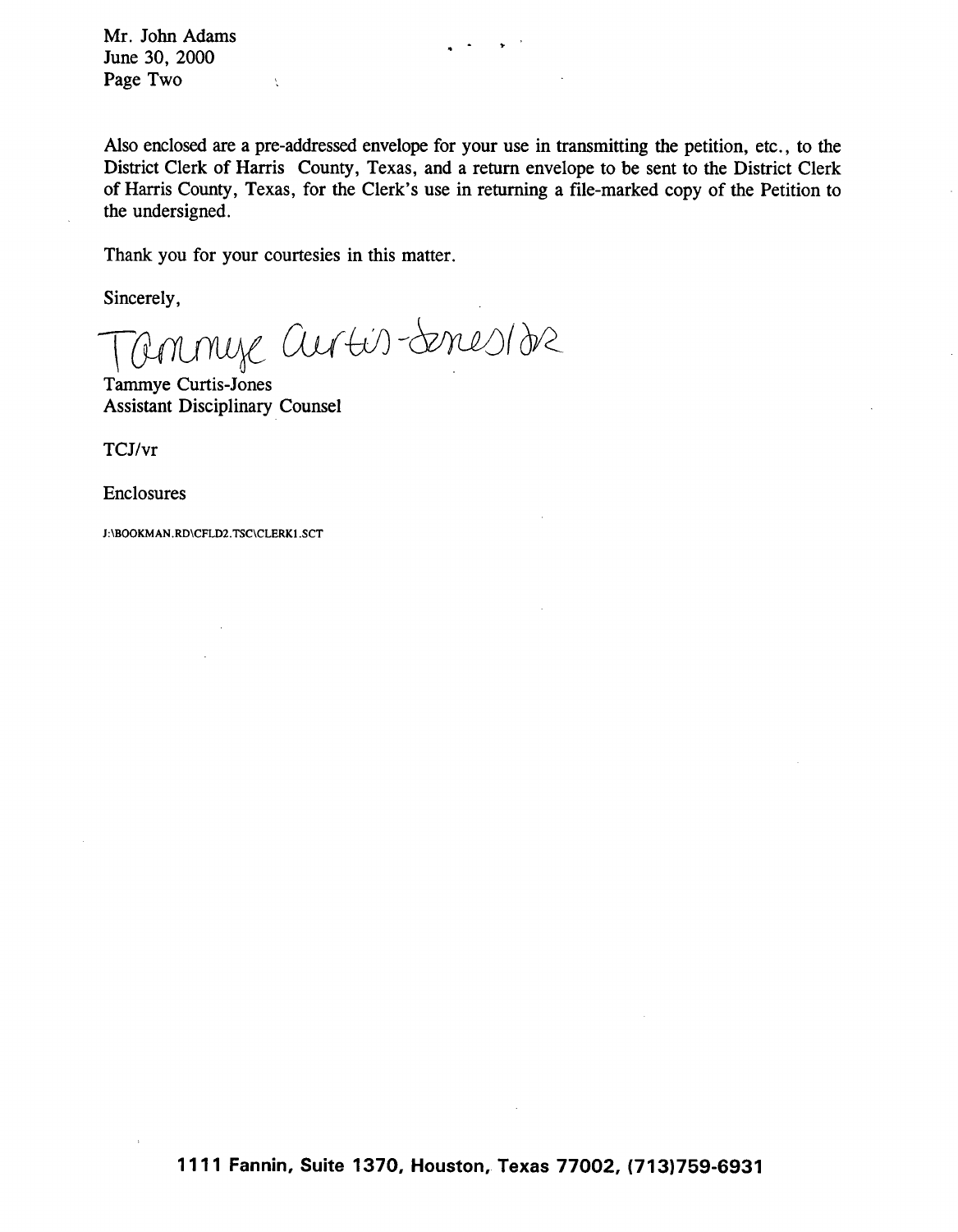Mr. John Adams June 30, 2000 Page Two

Also enclosed are a pre-addressed envelope for your use in transmitting the petition, etc., to the District Clerk of Harris County, Texas, and a return envelope to be sent to the District Clerk of Harris County, Texas, for the Clerk's use in returning a file-marked copy of the Petition to the undersigned.

Thank you for your **courtesies in this matter.**

 $\chi$ 

Sincerely,

annye autis-denesion

Tammye Curtis-Jones Assistant Disciplinary Counsel

TCJ/vr

Enclosures

**J: \BOOKMAN.**RD\CFLD2. TSC\CLERKI.SCT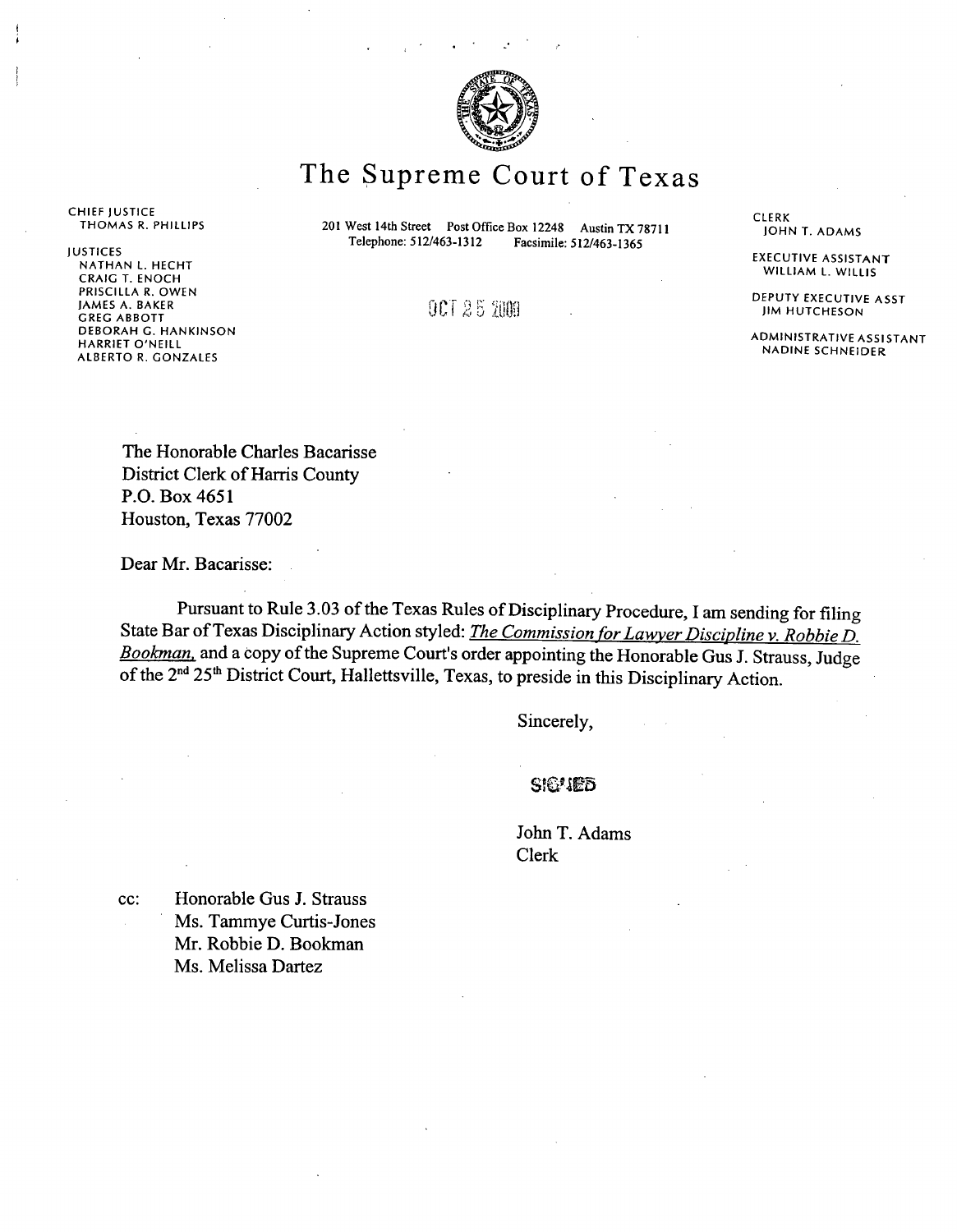

# The Supreme Court of Texas

CHIEF JUSTICE<br>THOMAS R. PHILLIPS

JUSTICES NATHAN L. HECHT CRAIG T. ENOCH PRISCILLA R. OWEN JAMES A. BAKER GREG ABBOTT DEBORAH G. HANKINSON HARRIET O'NEILL ALBERTO R. GONZALES

**201 West 14th Street** Post Office Box 12248 Austin TX 78711<br>Telephone: 512/463-1312 Facsimile: 512/463-1365 **Telephone: 512/463-1312 Facsimile: 512/463-1365**

 $00125200$ 

CLERK JOHN T. ADAMS

EXECUTIVE ASSISTANT WILLIAM L. WILLIS

DEPUTY EXECUTIVE ASST JIM HUTCHESON

ADMINISTRATIVE ASSISTANT NADINE SCHNEIDER

The Honorable Charles **Bacarisse** District Clerk of Harris County P.O. Box 4651 Houston, Texas 77002

Dear Mr. **Bacarisse:**

Pursuant to Rule 3.03 of the Texas Rules of Disciplinary Procedure, I am sending for filing State Bar of Texas Disciplinary Action styled: *The Commission for Lawyer Discipline v. Robbie D*. *Bookman,* and a copy of the Supreme Court's order appointing the Honorable Gus J. Strauss, Judge of the 2<sup>nd</sup> 25<sup>th</sup> District Court, Hallettsville, Texas, to preside in this Disciplinary Action.

Sincerely,

SIGUED

John T. Adams Clerk

cc: Honorable Gus J. Strauss Ms. Tammye Curtis-Jones Mr. Robbie D. Bookman Ms. Melissa Dartez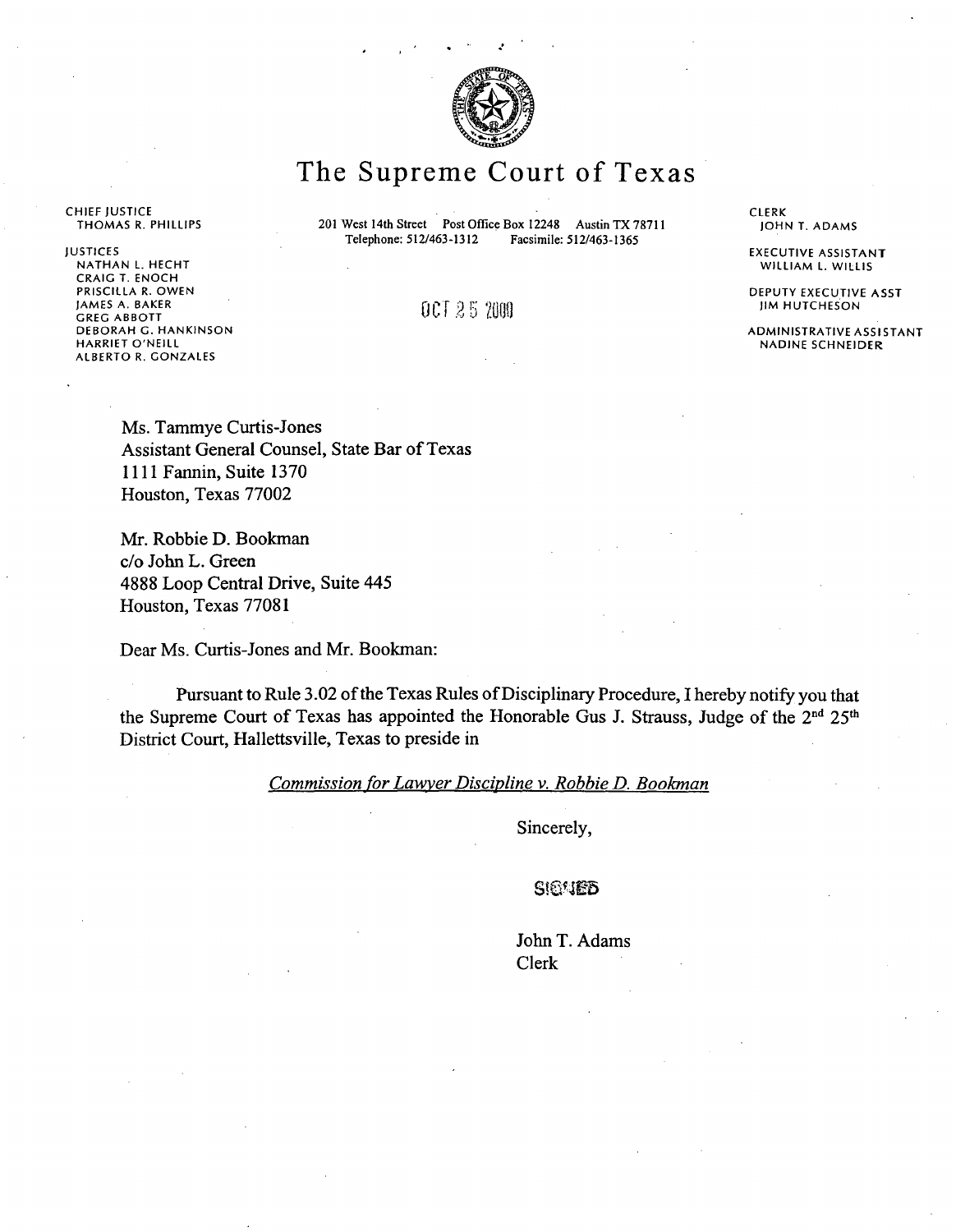

# The Supreme Court of Texas

**CHIEF** JUSTICE THOMAS **R. PHILLIPS**

201 West 14th Street Post Office Box 12248 Austin TX 78711<br>Telephone: 512/463-1312 Facsimile: 512/463-1365 Telephone: 512/463-1312

JUSTICES NATHAN L. HECHT CRAIG T. ENOCH PRISCILLA R. OWEN JAMES A. BAKER GREG ABBOTT DEBORAH G. HANKINSON HARRIET O'NEILL ALBERTO R. GONZALES

0 CT 25 2000

CLERK JOHN T. ADAMS

EXECUTIVE ASSISTANT WILLIAM L. WILLIS

DEPUTY EXECUTIVE ASST JIM HUTCHESON

ADMINISTRATIVE ASSISTANT NADINE **SCHNEIDER**

Ms. Tammye Curtis-Jones Assistant General Counsel, State Bar of Texas 1111 Fannin, Suite 1370 Houston, Texas 77002

Mr. Robbie **D. Bookman** c/o John L. Green **4888** Loop Central Drive, Suite 445 Houston, Texas 77081

Dear Ms. Curtis-Jones and Mr. **Bookman:**

Pursuant to Rule 3.02 of the Texas Rules of Disciplinary Procedure, I hereby notify you that the Supreme Court of Texas has appointed the Honorable Gus J. Strauss, Judge of the 2<sup>nd</sup> 25<sup>th</sup> District Court, Hallettsville, Texas to preside in

*Commission for Lawyer Discipline v. Robbie D. Bookman*

Sincerely,

**SIEMED** 

John T. Adams Clerk